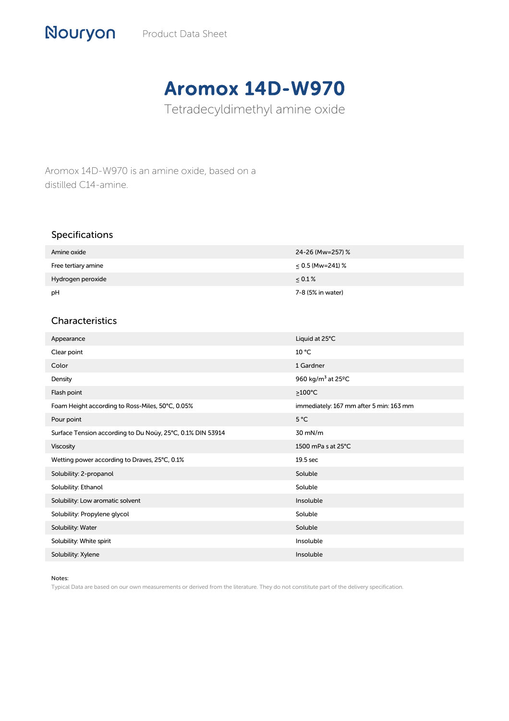## Aromox 14D-W970

Tetradecyldimethyl amine oxide

Aromox 14D-W970 is an amine oxide, based on a distilled C14-amine.

## Specifications

Nouryon

| Amine oxide         | 24-26 (Mw=257) %      |
|---------------------|-----------------------|
| Free tertiary amine | $\leq$ 0.5 (Mw=241) % |
| Hydrogen peroxide   | $\leq 0.1\%$          |
| рH                  | 7-8 (5% in water)     |

## Characteristics

| Appearance                                                 | Liquid at 25°C                             |
|------------------------------------------------------------|--------------------------------------------|
| Clear point                                                | 10 °C                                      |
| Color                                                      | 1 Gardner                                  |
| Density                                                    | 960 kg/m <sup>3</sup> at 25 <sup>o</sup> C |
| Flash point                                                | $\geq$ 100°C                               |
| Foam Height according to Ross-Miles, 50°C, 0.05%           | immediately: 167 mm after 5 min: 163 mm    |
| Pour point                                                 | 5 °C                                       |
| Surface Tension according to Du Noüy, 25°C, 0.1% DIN 53914 | 30 mN/m                                    |
| Viscosity                                                  | 1500 mPa s at 25°C                         |
| Wetting power according to Draves, 25°C, 0.1%              | 19.5 sec                                   |
| Solubility: 2-propanol                                     | Soluble                                    |
| Solubility: Ethanol                                        | Soluble                                    |
| Solubility: Low aromatic solvent                           | Insoluble                                  |
| Solubility: Propylene glycol                               | Soluble                                    |
| Solubility: Water                                          | Soluble                                    |
| Solubility: White spirit                                   | Insoluble                                  |
| Solubility: Xylene                                         | Insoluble                                  |

## Notes:

Typical Data are based on our own measurements or derived from the literature. They do not constitute part of the delivery specification.